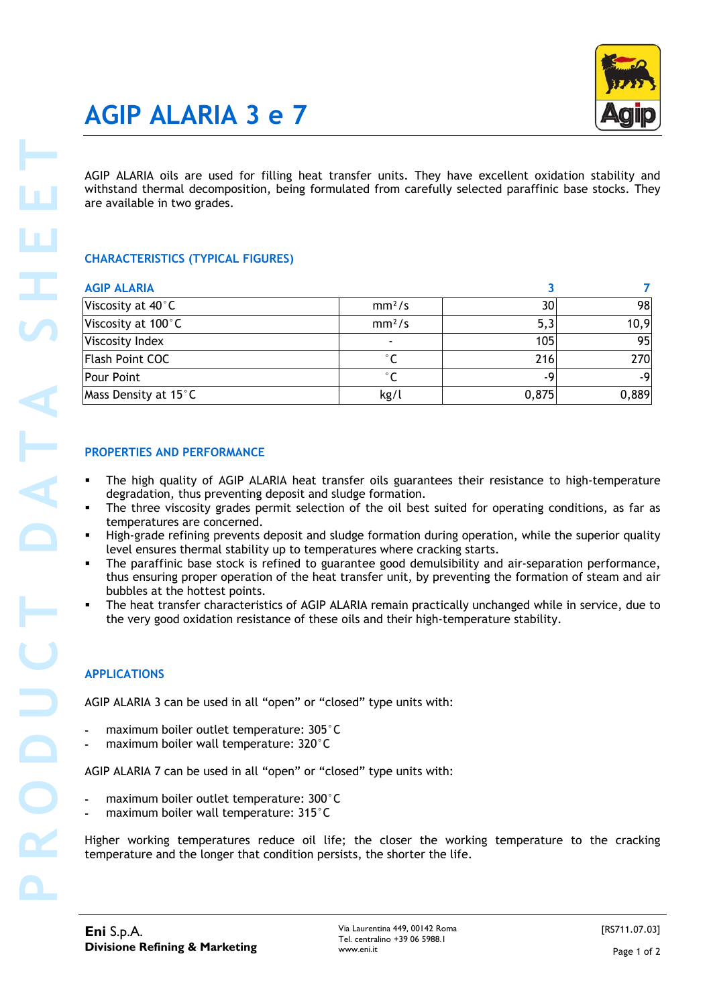# **AGIP ALARIA 3 e 7**

## **CHARACTERISTICS (TYPICAL FIGURES)**

| are available in two grades.                                                              | AGIP ALARIA oils are used for filling heat transfer units. They have excellent oxidation stability and<br>withstand thermal decomposition, being formulated from carefully selected paraffinic base stocks. They                                                                                                                                                                                                                                                                                            |                 |       |
|-------------------------------------------------------------------------------------------|-------------------------------------------------------------------------------------------------------------------------------------------------------------------------------------------------------------------------------------------------------------------------------------------------------------------------------------------------------------------------------------------------------------------------------------------------------------------------------------------------------------|-----------------|-------|
| <b>CHARACTERISTICS (TYPICAL FIGURES)</b>                                                  |                                                                                                                                                                                                                                                                                                                                                                                                                                                                                                             |                 |       |
| <b>AGIP ALARIA</b>                                                                        |                                                                                                                                                                                                                                                                                                                                                                                                                                                                                                             | 3               |       |
| Viscosity at 40°C                                                                         | mm <sup>2</sup> /s                                                                                                                                                                                                                                                                                                                                                                                                                                                                                          | 30 <sup>°</sup> |       |
| Viscosity at 100°C                                                                        | mm <sup>2</sup> /s                                                                                                                                                                                                                                                                                                                                                                                                                                                                                          | 5,3             |       |
| Viscosity Index<br><b>Flash Point COC</b>                                                 | $^{\circ}$ C                                                                                                                                                                                                                                                                                                                                                                                                                                                                                                | 105             |       |
| <b>Pour Point</b>                                                                         | $^{\circ}$ C                                                                                                                                                                                                                                                                                                                                                                                                                                                                                                | 216<br>-9       |       |
| Mass Density at 15°C                                                                      | kg/l                                                                                                                                                                                                                                                                                                                                                                                                                                                                                                        | 0,875           | 0,889 |
| degradation, thus preventing deposit and sludge formation.<br>temperatures are concerned. | The high quality of AGIP ALARIA heat transfer oils guarantees their resistance to high-temperature<br>The three viscosity grades permit selection of the oil best suited for operating conditions, as far as<br>High-grade refining prevents deposit and sludge formation during operation, while the superior quality<br>level ensures thermal stability up to temperatures where cracking starts.<br>The paraffinic base stock is refined to guarantee good demulsibility and air-separation performance, |                 |       |
| bubbles at the hottest points.                                                            | thus ensuring proper operation of the heat transfer unit, by preventing the formation of steam and air<br>The heat transfer characteristics of AGIP ALARIA remain practically unchanged while in service, due to<br>the very good oxidation resistance of these oils and their high-temperature stability.                                                                                                                                                                                                  |                 |       |
| <b>APPLICATIONS</b>                                                                       |                                                                                                                                                                                                                                                                                                                                                                                                                                                                                                             |                 |       |
| AGIP ALARIA 3 can be used in all "open" or "closed" type units with:                      |                                                                                                                                                                                                                                                                                                                                                                                                                                                                                                             |                 |       |
| maximum boiler outlet temperature: 305°C<br>maximum boiler wall temperature: 320°C        |                                                                                                                                                                                                                                                                                                                                                                                                                                                                                                             |                 |       |
| AGIP ALARIA 7 can be used in all "open" or "closed" type units with:                      |                                                                                                                                                                                                                                                                                                                                                                                                                                                                                                             |                 |       |
| maximum boiler outlet temperature: 300°C<br>maximum boiler wall temperature: 315°C        |                                                                                                                                                                                                                                                                                                                                                                                                                                                                                                             |                 |       |

### **PROPERTIES AND PERFORMANCE**

- The high quality of AGIP ALARIA heat transfer oils guarantees their resistance to high-temperature degradation, thus preventing deposit and sludge formation.
- The three viscosity grades permit selection of the oil best suited for operating conditions, as far as temperatures are concerned.
- High-grade refining prevents deposit and sludge formation during operation, while the superior quality level ensures thermal stability up to temperatures where cracking starts.
- The paraffinic base stock is refined to guarantee good demulsibility and air-separation performance, thus ensuring proper operation of the heat transfer unit, by preventing the formation of steam and air bubbles at the hottest points.
- The heat transfer characteristics of AGIP ALARIA remain practically unchanged while in service, due to the very good oxidation resistance of these oils and their high-temperature stability.

### **APPLICATIONS**

- maximum boiler outlet temperature: 305°C
- maximum boiler wall temperature: 320°C

- maximum boiler outlet temperature: 300°C
- maximum boiler wall temperature: 315°C